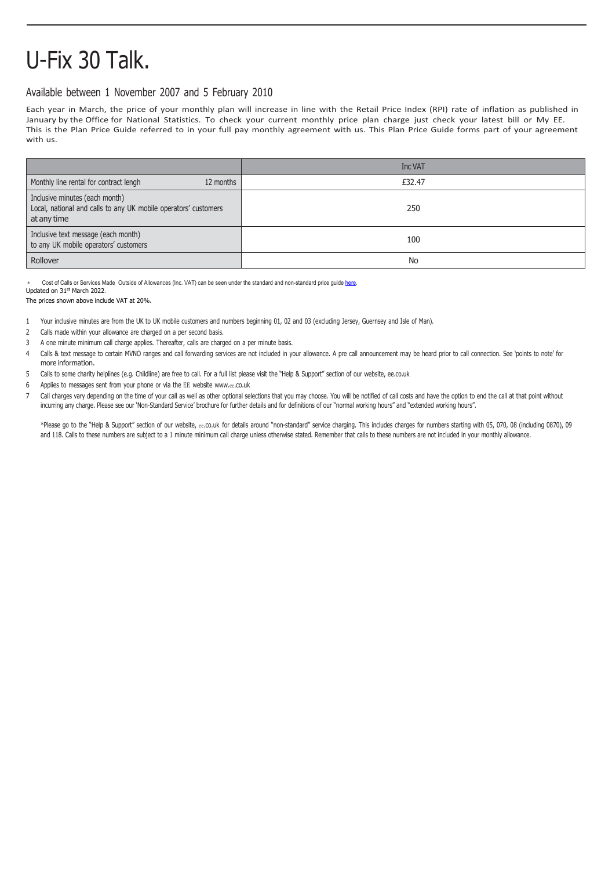## U-Fix 30 Talk.

## Available between 1 November 2007 and 5 February 2010

Each year in March, the price of your monthly plan will increase in line with the Retail Price Index (RPI) rate of inflation as published in January by the Office for National Statistics. To check your current monthly price plan charge just check your latest bill or My EE. This is the Plan Price Guide referred to in your full pay monthly agreement with us. This Plan Price Guide forms part of your agreement with us.

|                                                                                                                  | Inc VAT |
|------------------------------------------------------------------------------------------------------------------|---------|
| Monthly line rental for contract lengh<br>12 months                                                              | £32.47  |
| Inclusive minutes (each month)<br>Local, national and calls to any UK mobile operators' customers<br>at any time | 250     |
| Inclusive text message (each month)<br>to any UK mobile operators' customers                                     | 100     |
| Rollover                                                                                                         | No      |

Cost of Calls or Services Made, Outside of Allowances (Inc. VAT) can be seen under the standard and non-standard price guid[e here.](https://ee.co.uk/help/help-new/price-plans/legacy-brand/pay-monthly-price-plans)

Updated on 31st March 2022.

The prices shown above include VAT at 20%.

- 1 Your inclusive minutes are from the UK to UK mobile customers and numbers beginning 01, 02 and 03 (excluding Jersey, Guernsey and Isle of Man).
- 2 Calls made within your allowance are charged on a per second basis.
- 3 A one minute minimum call charge applies. Thereafter, calls are charged on a per minute basis.
- 4 Calls & text message to certain MVNO ranges and call forwarding services are not included in your allowance. A pre call announcement may be heard prior to call connection. See 'points to note' for more information.
- 5 Calls to some charity helplines (e.g. Childline) are free to call. For a full list please visit the "Help & Support" section of our website, ee.co.uk
- 6 Applies to messages sent from your phone or via the EE website www.ee[.co.uk](http://www.ee.co.uk/)<br>7 Call charges vary depending on the time of your call as well as other optional se
- Call charges vary depending on the time of your call as well as other optional selections that you may choose. You will be notified of call costs and have the option to end the call at that point without incurring any charge. Please see our 'Non-Standard Service' brochure for further details and for definitions of our "normal working hours" and "extended working hours".

\*Please go to the "Help & Support" section of our website, ee.co.uk for details around "non-standard" service charging. This includes charges for numbers starting with 05, 070, 08 (including 0870), 09 and 118. Calls to these numbers are subject to a 1 minute minimum call charge unless otherwise stated. Remember that calls to these numbers are not included in your monthly allowance.